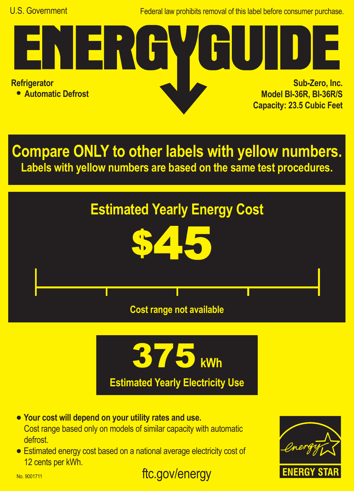Federal law prohibits removal of this label before consumer purchase.

**Refrigerator**

**• Automatic Defrost**

<u> J E M</u>

**Sub-Zero, Inc. Model BI-36R, BI-36R/S Capacity: 23.5 Cubic Feet**

**Compare ONLY to other labels with yellow numbers. Labels with yellow numbers are based on the same test procedures.**





ftc.gov/energy

- **• Your cost will depend on your utility rates and use.** Cost range based only on models of similar capacity with automatic defrost.
- **•** Estimated energy cost based on a national average electricity cost of 12 cents per kWh.



No. 9001711